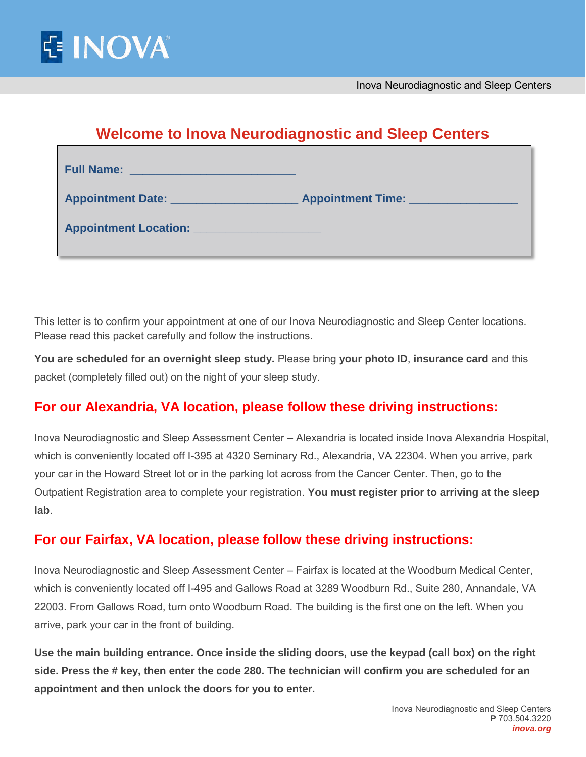

# **Welcome to Inova Neurodiagnostic and Sleep Centers**

| <b>Full Name:</b><br><u>a parti di serie della contrada della contrada della contrada della contrada della contrada della contrada dell</u> |                                            |
|---------------------------------------------------------------------------------------------------------------------------------------------|--------------------------------------------|
| Appointment Date: National Appointment Date:                                                                                                | <b>Appointment Time:</b> Appointment Time: |
| <b>Appointment Location:</b> Appointment Location:                                                                                          |                                            |

This letter is to confirm your appointment at one of our Inova Neurodiagnostic and Sleep Center locations. Please read this packet carefully and follow the instructions.

**You are scheduled for an overnight sleep study.** Please bring **your photo ID**, **insurance card** and this packet (completely filled out) on the night of your sleep study.

## **For our Alexandria, VA location, please follow these driving instructions:**

Inova Neurodiagnostic and Sleep Assessment Center – Alexandria is located inside Inova Alexandria Hospital, which is conveniently located off I-395 at 4320 Seminary Rd., Alexandria, VA 22304. When you arrive, park your car in the Howard Street lot or in the parking lot across from the Cancer Center. Then, go to the Outpatient Registration area to complete your registration. **You must register prior to arriving at the sleep lab**.

## **For our Fairfax, VA location, please follow these driving instructions:**

Inova Neurodiagnostic and Sleep Assessment Center – Fairfax is located at the Woodburn Medical Center, which is conveniently located off I-495 and Gallows Road at 3289 Woodburn Rd., Suite 280, Annandale, VA 22003. From Gallows Road, turn onto Woodburn Road. The building is the first one on the left. When you arrive, park your car in the front of building.

**Use the main building entrance. Once inside the sliding doors, use the keypad (call box) on the right side. Press the # key, then enter the code 280. The technician will confirm you are scheduled for an appointment and then unlock the doors for you to enter.**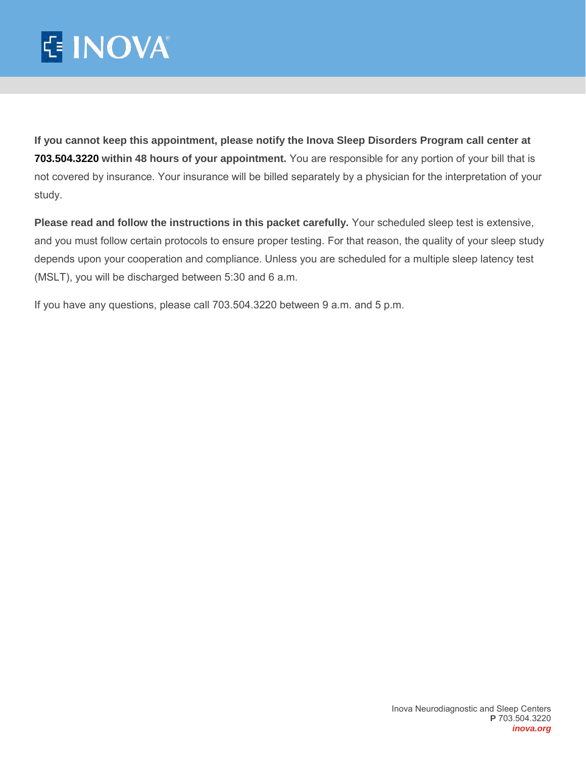# E INOVA®

**If you cannot keep this appointment, please notify the Inova Sleep Disorders Program call center at 703.504.3220 within 48 hours of your appointment.** You are responsible for any portion of your bill that is not covered by insurance. Your insurance will be billed separately by a physician for the interpretation of your study.

**Please read and follow the instructions in this packet carefully.** Your scheduled sleep test is extensive, and you must follow certain protocols to ensure proper testing. For that reason, the quality of your sleep study depends upon your cooperation and compliance. Unless you are scheduled for a multiple sleep latency test (MSLT), you will be discharged between 5:30 and 6 a.m.

If you have any questions, please call 703.504.3220 between 9 a.m. and 5 p.m.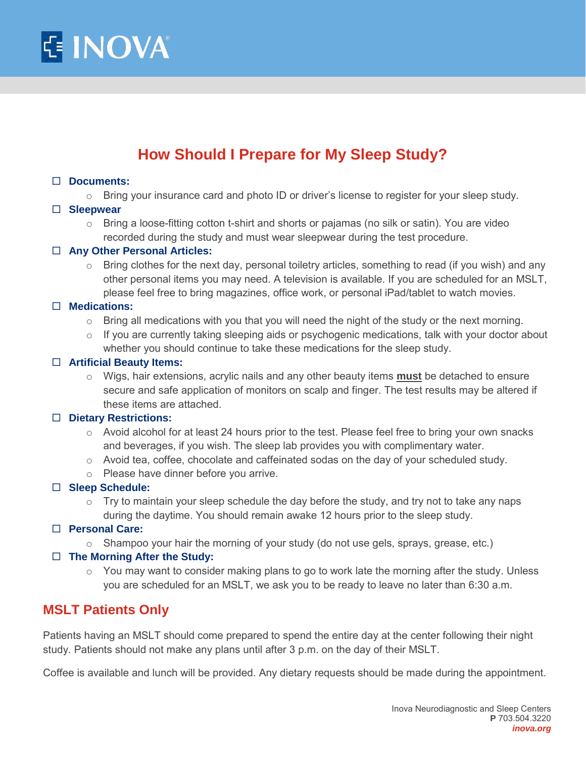

# **How Should I Prepare for My Sleep Study?**

#### **Documents:**

 $\circ$  Bring your insurance card and photo ID or driver's license to register for your sleep study.

#### **Sleepwear**

 $\circ$  Bring a loose-fitting cotton t-shirt and shorts or pajamas (no silk or satin). You are video recorded during the study and must wear sleepwear during the test procedure.

#### **Any Other Personal Articles:**

 $\circ$  Bring clothes for the next day, personal toiletry articles, something to read (if you wish) and any other personal items you may need. A television is available. If you are scheduled for an MSLT, please feel free to bring magazines, office work, or personal iPad/tablet to watch movies.

#### **Medications:**

- o Bring all medications with you that you will need the night of the study or the next morning.
- $\circ$  If you are currently taking sleeping aids or psychogenic medications, talk with your doctor about whether you should continue to take these medications for the sleep study.

#### **Artificial Beauty Items:**

o Wigs, hair extensions, acrylic nails and any other beauty items **must** be detached to ensure secure and safe application of monitors on scalp and finger. The test results may be altered if these items are attached.

#### **Dietary Restrictions:**

- $\circ$  Avoid alcohol for at least 24 hours prior to the test. Please feel free to bring your own snacks and beverages, if you wish. The sleep lab provides you with complimentary water.
- $\circ$  Avoid tea, coffee, chocolate and caffeinated sodas on the day of your scheduled study.
- o Please have dinner before you arrive.

#### **Sleep Schedule:**

- $\circ$  Try to maintain your sleep schedule the day before the study, and try not to take any naps during the daytime. You should remain awake 12 hours prior to the sleep study.
- **Personal Care:** 
	- $\circ$  Shampoo your hair the morning of your study (do not use gels, sprays, grease, etc.)

#### **The Morning After the Study:**

 $\circ$  You may want to consider making plans to go to work late the morning after the study. Unless you are scheduled for an MSLT, we ask you to be ready to leave no later than 6:30 a.m.

## **MSLT Patients Only**

Patients having an MSLT should come prepared to spend the entire day at the center following their night study. Patients should not make any plans until after 3 p.m. on the day of their MSLT.

Coffee is available and lunch will be provided. Any dietary requests should be made during the appointment.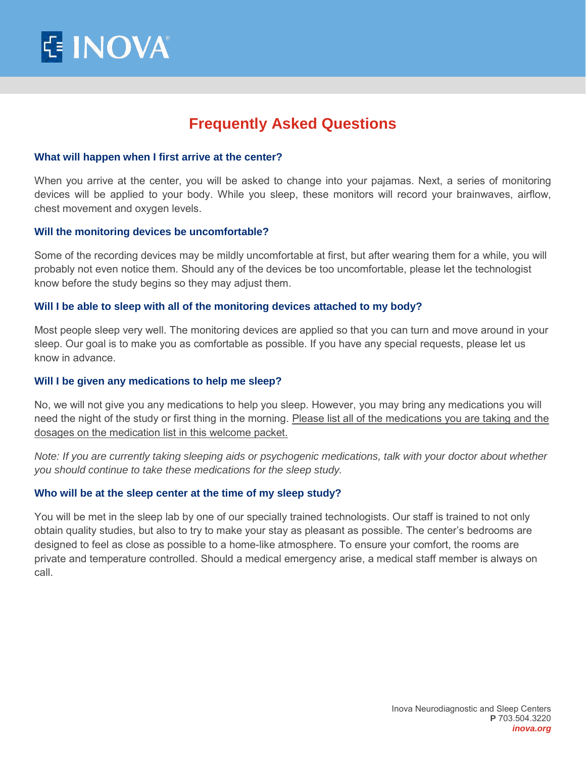## **Frequently Asked Questions**

#### **What will happen when I first arrive at the center?**

When you arrive at the center, you will be asked to change into your pajamas. Next, a series of monitoring devices will be applied to your body. While you sleep, these monitors will record your brainwaves, airflow, chest movement and oxygen levels.

#### **Will the monitoring devices be uncomfortable?**

Some of the recording devices may be mildly uncomfortable at first, but after wearing them for a while, you will probably not even notice them. Should any of the devices be too uncomfortable, please let the technologist know before the study begins so they may adjust them.

#### **Will I be able to sleep with all of the monitoring devices attached to my body?**

Most people sleep very well. The monitoring devices are applied so that you can turn and move around in your sleep. Our goal is to make you as comfortable as possible. If you have any special requests, please let us know in advance.

#### **Will I be given any medications to help me sleep?**

No, we will not give you any medications to help you sleep. However, you may bring any medications you will need the night of the study or first thing in the morning. Please list all of the medications you are taking and the dosages on the medication list in this welcome packet.

*Note: If you are currently taking sleeping aids or psychogenic medications, talk with your doctor about whether you should continue to take these medications for the sleep study.* 

#### **Who will be at the sleep center at the time of my sleep study?**

You will be met in the sleep lab by one of our specially trained technologists. Our staff is trained to not only obtain quality studies, but also to try to make your stay as pleasant as possible. The center's bedrooms are designed to feel as close as possible to a home-like atmosphere. To ensure your comfort, the rooms are private and temperature controlled. Should a medical emergency arise, a medical staff member is always on call.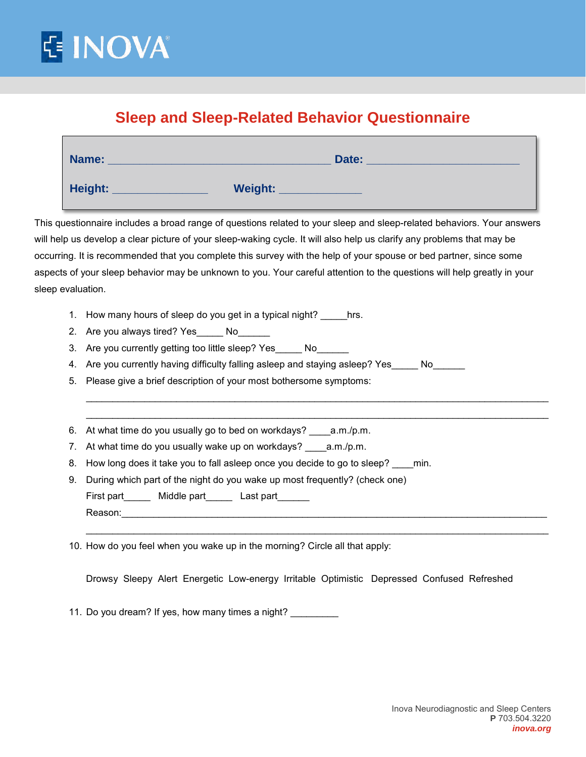

# **Sleep and Sleep-Related Behavior Questionnaire**

| Name:   | Date:   |
|---------|---------|
| Height: | Weight: |

This questionnaire includes a broad range of questions related to your sleep and sleep-related behaviors. Your answers will help us develop a clear picture of your sleep-waking cycle. It will also help us clarify any problems that may be occurring. It is recommended that you complete this survey with the help of your spouse or bed partner, since some aspects of your sleep behavior may be unknown to you. Your careful attention to the questions will help greatly in your sleep evaluation.

- 1. How many hours of sleep do you get in a typical night? hrs.
- 2. Are you always tired? Yes No
- 3. Are you currently getting too little sleep? Yes \_\_\_\_\_ No\_\_\_\_
- 4. Are you currently having difficulty falling asleep and staying asleep? Yes No
- 5. Please give a brief description of your most bothersome symptoms:
- 6. At what time do you usually go to bed on workdays? \_\_\_\_a.m./p.m.
- 7. At what time do you usually wake up on workdays? \_\_\_\_\_a.m./p.m.
- 8. How long does it take you to fall asleep once you decide to go to sleep? min.
- 9. During which part of the night do you wake up most frequently? (check one) First part Middle part Last part Reason:\_\_\_\_\_\_\_\_\_\_\_\_\_\_\_\_\_\_\_\_\_\_\_\_\_\_\_\_\_\_\_\_\_\_\_\_\_\_\_\_\_\_\_\_\_\_\_\_\_\_\_\_\_\_\_\_\_\_\_\_\_\_\_\_\_\_\_\_\_\_\_\_\_\_\_\_\_\_\_\_
	- \_\_\_\_\_\_\_\_\_\_\_\_\_\_\_\_\_\_\_\_\_\_\_\_\_\_\_\_\_\_\_\_\_\_\_\_\_\_\_\_\_\_\_\_\_\_\_\_\_\_\_\_\_\_\_\_\_\_\_\_\_\_\_\_\_\_\_\_\_\_\_\_\_\_\_\_\_\_\_\_\_\_\_\_\_\_\_
- 10. How do you feel when you wake up in the morning? Circle all that apply:

Drowsy Sleepy Alert Energetic Low-energy Irritable Optimistic Depressed Confused Refreshed

\_\_\_\_\_\_\_\_\_\_\_\_\_\_\_\_\_\_\_\_\_\_\_\_\_\_\_\_\_\_\_\_\_\_\_\_\_\_\_\_\_\_\_\_\_\_\_\_\_\_\_\_\_\_\_\_\_\_\_\_\_\_\_\_\_\_\_\_\_\_\_\_\_\_\_\_\_\_\_\_\_\_\_\_\_\_\_ \_\_\_\_\_\_\_\_\_\_\_\_\_\_\_\_\_\_\_\_\_\_\_\_\_\_\_\_\_\_\_\_\_\_\_\_\_\_\_\_\_\_\_\_\_\_\_\_\_\_\_\_\_\_\_\_\_\_\_\_\_\_\_\_\_\_\_\_\_\_\_\_\_\_\_\_\_\_\_\_\_\_\_\_\_\_\_

11. Do you dream? If yes, how many times a night?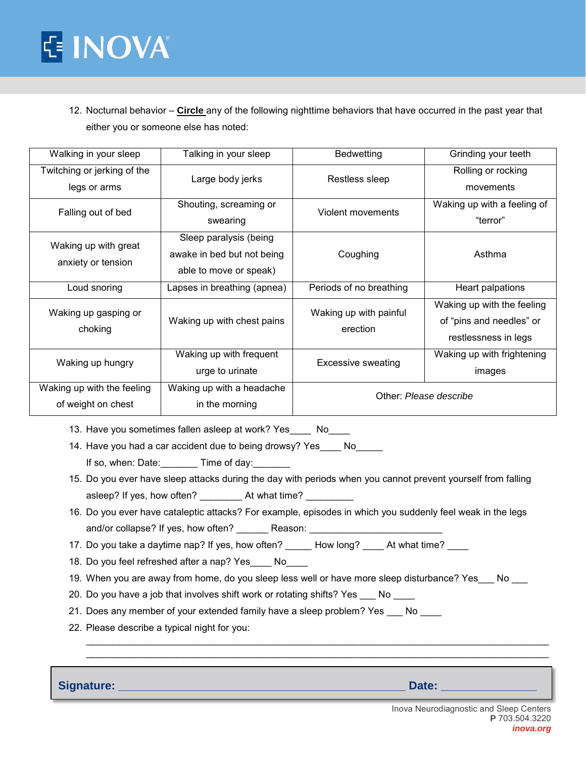

12. Nocturnal behavior – **Circle** any of the following nighttime behaviors that have occurred in the past year that either you or someone else has noted:

| Walking in your sleep                            | Talking in your sleep                                                          | <b>Bedwetting</b>                  | Grinding your teeth                                                            |
|--------------------------------------------------|--------------------------------------------------------------------------------|------------------------------------|--------------------------------------------------------------------------------|
| Twitching or jerking of the<br>legs or arms      | Large body jerks                                                               | Restless sleep                     | Rolling or rocking<br>movements                                                |
| Falling out of bed                               | Shouting, screaming or<br>swearing                                             | Violent movements                  | Waking up with a feeling of<br>"terror"                                        |
| Waking up with great<br>anxiety or tension       | Sleep paralysis (being<br>awake in bed but not being<br>able to move or speak) | Coughing                           | Asthma                                                                         |
| Loud snoring                                     | Lapses in breathing (apnea)                                                    | Periods of no breathing            | Heart palpations                                                               |
| Waking up gasping or<br>choking                  | Waking up with chest pains                                                     | Waking up with painful<br>erection | Waking up with the feeling<br>of "pins and needles" or<br>restlessness in legs |
| Waking up hungry                                 | Waking up with frequent<br>urge to urinate                                     | <b>Excessive sweating</b>          | Waking up with frightening<br>images                                           |
| Waking up with the feeling<br>of weight on chest | Waking up with a headache<br>in the morning                                    |                                    | Other: Please describe                                                         |

- 13. Have you sometimes fallen asleep at work? Yes \_\_\_\_ No\_\_\_\_
- 14. Have you had a car accident due to being drowsy? Yes \_\_\_\_ No\_\_\_\_\_ If so, when: Date: Time of day:
- 15. Do you ever have sleep attacks during the day with periods when you cannot prevent yourself from falling asleep? If yes, how often? At what time?
- 16. Do you ever have cataleptic attacks? For example, episodes in which you suddenly feel weak in the legs and/or collapse? If yes, how often? \_\_\_\_\_\_\_\_ Reason: \_\_\_\_\_\_
- 17. Do you take a daytime nap? If yes, how often? \_\_\_\_\_ How long? \_\_\_\_ At what time? \_\_\_
- 18. Do you feel refreshed after a nap? Yes\_\_\_\_ No\_\_\_\_
- 19. When you are away from home, do you sleep less well or have more sleep disturbance? Yes \_\_\_ No \_\_\_

\_\_\_\_\_\_\_\_\_\_\_\_\_\_\_\_\_\_\_\_\_\_\_\_\_\_\_\_\_\_\_\_\_\_\_\_\_\_\_\_\_\_\_\_\_\_\_\_\_\_\_\_\_\_\_\_\_\_\_\_\_\_\_\_\_\_\_\_\_\_\_\_\_\_\_\_\_\_\_\_\_\_\_\_\_\_\_ \_\_\_\_\_\_\_\_\_\_\_\_\_\_\_\_\_\_\_\_\_\_\_\_\_\_\_\_\_\_\_\_\_\_\_\_\_\_\_\_\_\_\_\_\_\_\_\_\_\_\_\_\_\_\_\_\_\_\_\_\_\_\_\_\_\_\_\_\_\_\_\_\_\_\_\_\_\_\_\_\_\_\_\_\_\_\_

- 20. Do you have a job that involves shift work or rotating shifts? Yes \_\_\_ No \_\_\_
- 21. Does any member of your extended family have a sleep problem? Yes \_\_\_ No \_\_\_
- 22. Please describe a typical night for you:

**Signature: \_\_\_\_\_\_\_\_\_\_\_\_\_\_\_\_\_\_\_\_\_\_\_\_\_\_\_\_\_\_\_\_\_\_\_\_\_\_\_\_\_\_\_\_\_ Date: \_\_\_\_\_\_\_\_\_\_\_\_\_\_\_**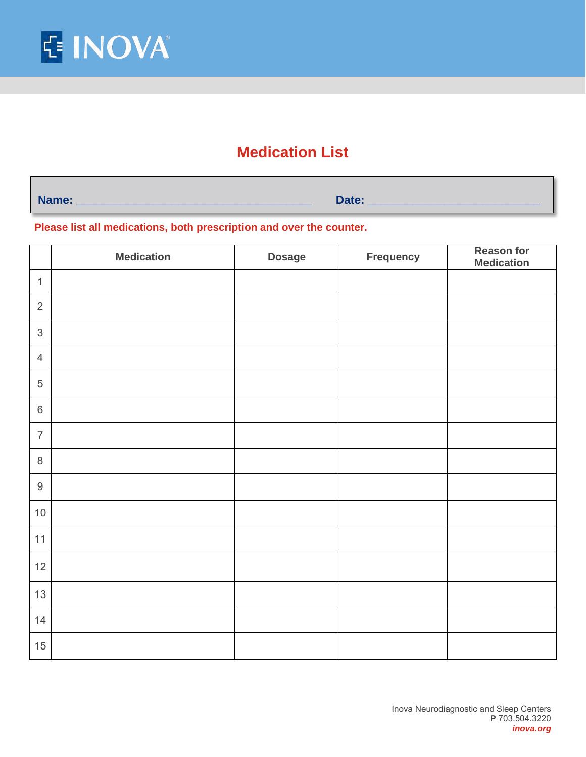

## **Medication List**

**Name: \_\_\_\_\_\_\_\_\_\_\_\_\_\_\_\_\_\_\_\_\_\_\_\_\_\_\_\_\_\_\_\_\_\_\_\_\_ Date: \_\_\_\_\_\_\_\_\_\_\_\_\_\_\_\_\_\_\_\_\_\_\_\_\_\_\_**

**Please list all medications, both prescription and over the counter.** 

|                           | <b>Medication</b> | <b>Dosage</b> | Frequency | <b>Reason for</b><br><b>Medication</b> |
|---------------------------|-------------------|---------------|-----------|----------------------------------------|
| $\mathbf{1}$              |                   |               |           |                                        |
| $\sqrt{2}$                |                   |               |           |                                        |
| $\ensuremath{\mathsf{3}}$ |                   |               |           |                                        |
| $\overline{4}$            |                   |               |           |                                        |
| $\sqrt{5}$                |                   |               |           |                                        |
| $\,6\,$                   |                   |               |           |                                        |
| $\overline{7}$            |                   |               |           |                                        |
| $\,8\,$                   |                   |               |           |                                        |
| $\boldsymbol{9}$          |                   |               |           |                                        |
| $10$                      |                   |               |           |                                        |
| 11                        |                   |               |           |                                        |
| 12                        |                   |               |           |                                        |
| 13                        |                   |               |           |                                        |
| 14                        |                   |               |           |                                        |
| 15                        |                   |               |           |                                        |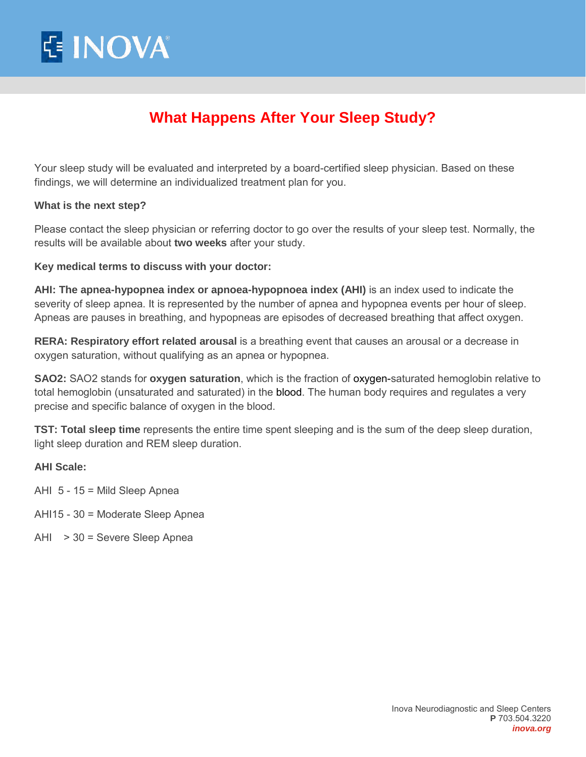

# **What Happens After Your Sleep Study?**

Your sleep study will be evaluated and interpreted by a board-certified sleep physician. Based on these findings, we will determine an individualized treatment plan for you.

#### **What is the next step?**

Please contact the sleep physician or referring doctor to go over the results of your sleep test. Normally, the results will be available about **two weeks** after your study.

#### **Key medical terms to discuss with your doctor:**

**AHI: The apnea-hypopnea index or apnoea-hypopnoea index (AHI)** is an index used to indicate the severity of sleep apnea. It is represented by the number of apnea and hypopnea events per hour of sleep. Apneas are pauses in breathing, and hypopneas are episodes of decreased breathing that affect oxygen.

**RERA: Respiratory effort related arousal** is a breathing event that causes an arousal or a decrease in oxygen saturation, without qualifying as an apnea or hypopnea.

**SAO2:** SAO2 stands for **oxygen saturation**, which is the fraction of [oxygen-](https://en.wikipedia.org/wiki/Oxygen)saturated hemoglobin relative to total hemoglobin (unsaturated and saturated) in the [blood.](https://en.wikipedia.org/wiki/Blood) The human body requires and regulates a very precise and specific balance of oxygen in the blood.

**TST: Total sleep time** represents the entire time spent sleeping and is the sum of the deep sleep duration, light sleep duration and REM sleep duration.

#### **AHI Scale:**

- AHI 5 15 = Mild Sleep Apnea
- AHI15 30 = Moderate Sleep Apnea
- AHI > 30 = Severe Sleep Apnea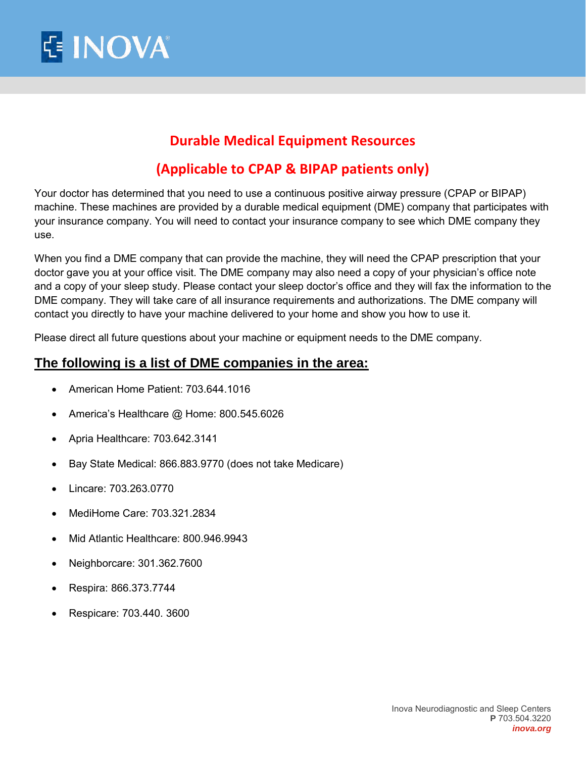

## **Durable Medical Equipment Resources**

## **(Applicable to CPAP & BIPAP patients only)**

Your doctor has determined that you need to use a continuous positive airway pressure (CPAP or BIPAP) machine. These machines are provided by a durable medical equipment (DME) company that participates with your insurance company. You will need to contact your insurance company to see which DME company they use.

When you find a DME company that can provide the machine, they will need the CPAP prescription that your doctor gave you at your office visit. The DME company may also need a copy of your physician's office note and a copy of your sleep study. Please contact your sleep doctor's office and they will fax the information to the DME company. They will take care of all insurance requirements and authorizations. The DME company will contact you directly to have your machine delivered to your home and show you how to use it.

Please direct all future questions about your machine or equipment needs to the DME company.

### **The following is a list of DME companies in the area:**

- American Home Patient: 703.644.1016
- America's Healthcare @ Home: 800.545.6026
- Apria Healthcare: 703.642.3141
- Bay State Medical: 866.883.9770 (does not take Medicare)
- Lincare: 703.263.0770
- MediHome Care: 703.321.2834
- Mid Atlantic Healthcare: 800.946.9943
- Neighborcare: 301.362.7600
- Respira: 866.373.7744
- Respicare: 703.440. 3600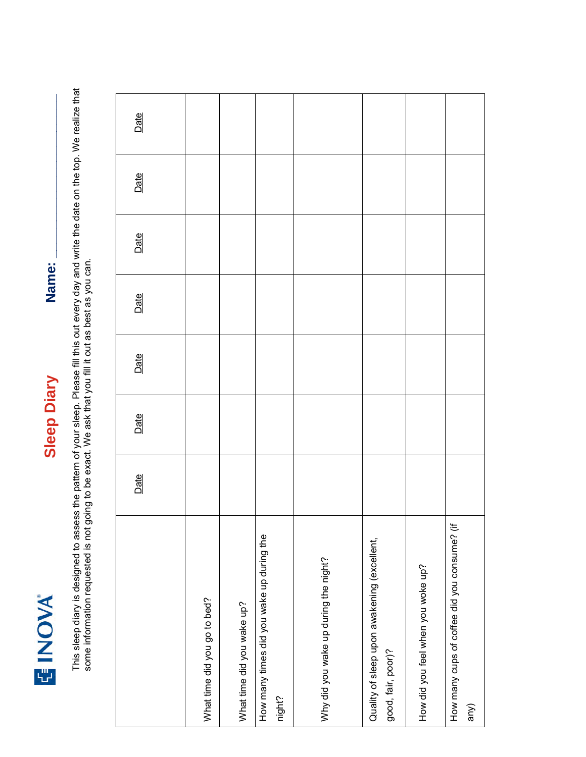

**Sleep Diary Name:** <u>**Name:**</u> **Sleep Diary** 

Name:

This sleep diary is designed to assess the pattern of your sleep. Please fill this out every day and write the date on the top. We realize that<br>some information requested is not going to be exact. We ask that you fill it o This sleep diary is designed to assess the pattern of your sleep. Please fill this out every day and write the date on the top. We realize that some information requested is not going to be exact. We ask that you fill it out as best as you can.

|                                                                   | Date | Date | Date | Date | Date | Date | Date |
|-------------------------------------------------------------------|------|------|------|------|------|------|------|
| What time did you go to bed?                                      |      |      |      |      |      |      |      |
| What time did you wake up?                                        |      |      |      |      |      |      |      |
| How many times did you wake up during the<br>night?               |      |      |      |      |      |      |      |
| Why did you wake up during the night?                             |      |      |      |      |      |      |      |
| Quality of sleep upon awakening (excellent,<br>good, fair, poor)? |      |      |      |      |      |      |      |
| How did you feel when you woke up?                                |      |      |      |      |      |      |      |
| How many cups of coffee did you consume? (if<br>any)              |      |      |      |      |      |      |      |